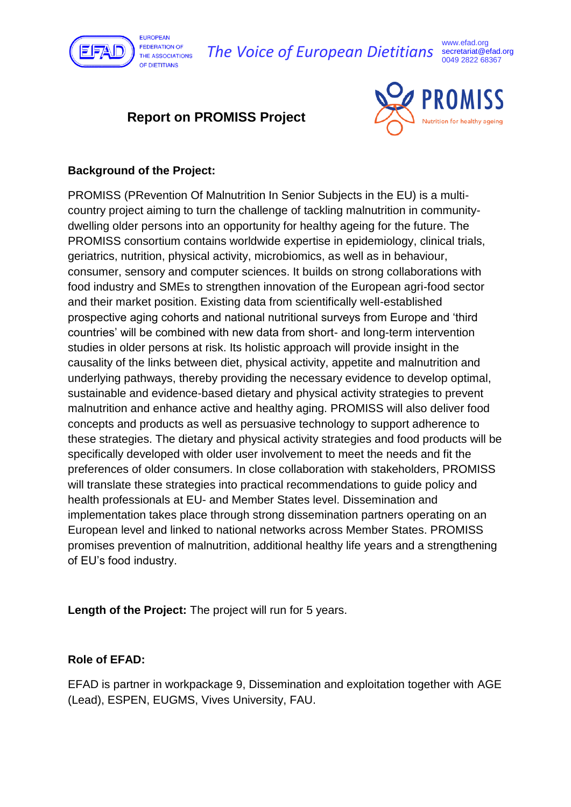

*The Voice of European Dietitians* secretariat@efad.org

www.efad.org 0049 2822 68367

# **Report on PROMISS Project**



## **Background of the Project:**

PROMISS (PRevention Of Malnutrition In Senior Subjects in the EU) is a multicountry project aiming to turn the challenge of tackling malnutrition in communitydwelling older persons into an opportunity for healthy ageing for the future. The PROMISS consortium contains worldwide expertise in epidemiology, clinical trials, geriatrics, nutrition, physical activity, microbiomics, as well as in behaviour, consumer, sensory and computer sciences. It builds on strong collaborations with food industry and SMEs to strengthen innovation of the European agri-food sector and their market position. Existing data from scientifically well-established prospective aging cohorts and national nutritional surveys from Europe and 'third countries' will be combined with new data from short- and long-term intervention studies in older persons at risk. Its holistic approach will provide insight in the causality of the links between diet, physical activity, appetite and malnutrition and underlying pathways, thereby providing the necessary evidence to develop optimal, sustainable and evidence-based dietary and physical activity strategies to prevent malnutrition and enhance active and healthy aging. PROMISS will also deliver food concepts and products as well as persuasive technology to support adherence to these strategies. The dietary and physical activity strategies and food products will be specifically developed with older user involvement to meet the needs and fit the preferences of older consumers. In close collaboration with stakeholders, PROMISS will translate these strategies into practical recommendations to guide policy and health professionals at EU- and Member States level. Dissemination and implementation takes place through strong dissemination partners operating on an European level and linked to national networks across Member States. PROMISS promises prevention of malnutrition, additional healthy life years and a strengthening of EU's food industry.

**Length of the Project:** The project will run for 5 years.

### **Role of EFAD:**

EFAD is partner in workpackage 9, Dissemination and exploitation together with AGE (Lead), ESPEN, EUGMS, Vives University, FAU.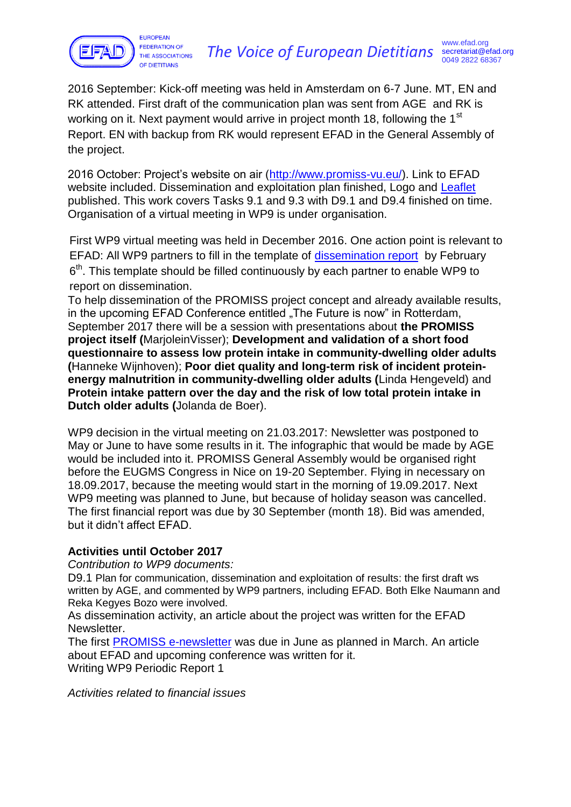

2016 September: Kick-off meeting was held in Amsterdam on 6-7 June. MT, EN and RK attended. First draft of the communication plan was sent from AGE and RK is working on it. Next payment would arrive in project month 18, following the 1<sup>st</sup> Report. EN with backup from RK would represent EFAD in the General Assembly of the project.

2016 October: Project's website on air [\(http://www.promiss-vu.eu/\)](http://www.promiss-vu.eu/). Link to EFAD website included. Dissemination and exploitation plan finished, Logo and [Leaflet](http://www.promiss-vu.eu/wp-content/uploads/PROMISS-leaflet_FINAL.pdf) published. This work covers Tasks 9.1 and 9.3 with D9.1 and D9.4 finished on time. Organisation of a virtual meeting in WP9 is under organisation.

First WP9 virtual meeting was held in December 2016. One action point is relevant to EFAD: All WP9 partners to fill in the template of [dissemination report](file:///C:/Users/rvf300/AppData/Local/Microsoft/Windows/Temporary%20Internet%20Files/Content.Outlook/D7MJO47L/PROMISS%20Dissemination%20reporting/PROMISS%20Dissemination%20activities%20Continuous%20reporting%20-%20template.docx) by February  $6<sup>th</sup>$ . This template should be filled continuously by each partner to enable WP9 to report on dissemination.

To help dissemination of the PROMISS project concept and already available results, in the upcoming EFAD Conference entitled "The Future is now" in Rotterdam, September 2017 there will be a session with presentations about **the PROMISS project itself (**MarjoleinVisser); **Development and validation of a short food questionnaire to assess low protein intake in community-dwelling older adults (**Hanneke Wijnhoven); **Poor diet quality and long-term risk of incident proteinenergy malnutrition in community-dwelling older adults (**Linda Hengeveld) and **Protein intake pattern over the day and the risk of low total protein intake in Dutch older adults (**Jolanda de Boer).

WP9 decision in the virtual meeting on 21.03.2017: Newsletter was postponed to May or June to have some results in it. The infographic that would be made by AGE would be included into it. PROMISS General Assembly would be organised right before the EUGMS Congress in Nice on 19-20 September. Flying in necessary on 18.09.2017, because the meeting would start in the morning of 19.09.2017. Next WP9 meeting was planned to June, but because of holiday season was cancelled. The first financial report was due by 30 September (month 18). Bid was amended, but it didn't affect EFAD.

## **Activities until October 2017**

*Contribution to WP9 documents:*

D9.1 Plan for communication, dissemination and exploitation of results: the first draft ws written by AGE, and commented by WP9 partners, including EFAD. Both Elke Naumann and Reka Kegyes Bozo were involved.

As dissemination activity, an article about the project was written for the EFAD Newsletter.

The first [PROMISS e-newsletter](http://www.promiss-vu.eu/wp-content/uploads/PROMISS-Newsletter-1-June-2017-FINAL.pdf) was due in June as planned in March. An article about EFAD and upcoming conference was written for it. Writing WP9 Periodic Report 1

*Activities related to financial issues*